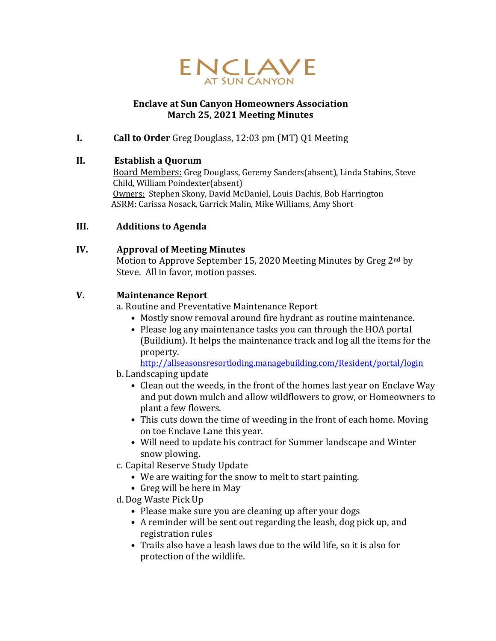

## **Enclave at Sun Canyon Homeowners Association March 25, 2021 Meeting Minutes**

**I. Call to Order** Greg Douglass, 12:03 pm (MT) Q1 Meeting

### **II. Establish a Quorum**

Board Members: Greg Douglass, Geremy Sanders(absent), Linda Stabins, Steve Child, William Poindexter(absent) Owners: Stephen Skony, David McDaniel, Louis Dachis, Bob Harrington ASRM: Carissa Nosack, Garrick Malin, Mike Williams, Amy Short

## **III. Additions to Agenda**

## **IV. Approval of Meeting Minutes**

Motion to Approve September 15, 2020 Meeting Minutes by Greg 2nd by Steve. All in favor, motion passes.

## **V. Maintenance Report**

a. Routine and Preventative Maintenance Report

- Mostly snow removal around fire hydrant as routine maintenance.
- Please log any maintenance tasks you can through the HOA portal (Buildium). It helps the maintenance track and log all the items for the property.

<http://allseasonsresortloding.managebuilding.com/Resident/portal/login>

- b. Landscaping update
	- Clean out the weeds, in the front of the homes last year on Enclave Way and put down mulch and allow wildflowers to grow, or Homeowners to plant a few flowers.
	- This cuts down the time of weeding in the front of each home. Moving on toe Enclave Lane this year.
	- Will need to update his contract for Summer landscape and Winter snow plowing.
- c. Capital Reserve Study Update
	- We are waiting for the snow to melt to start painting.
	- Greg will be here in May
- d. Dog Waste Pick Up
	- Please make sure you are cleaning up after your dogs
	- A reminder will be sent out regarding the leash, dog pick up, and registration rules
	- Trails also have a leash laws due to the wild life, so it is also for protection of the wildlife.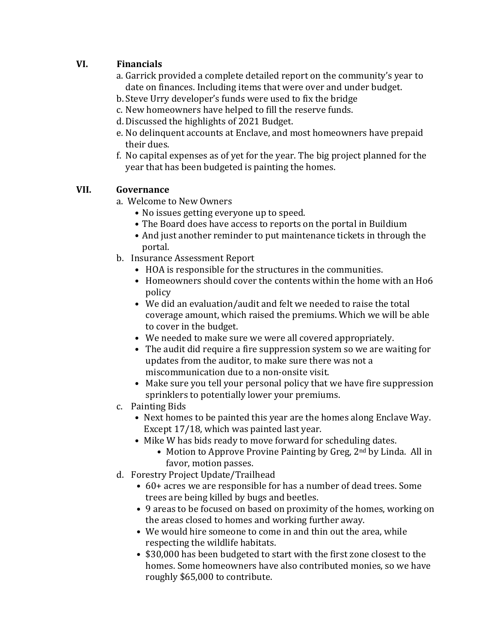# **VI. Financials**

- a. Garrick provided a complete detailed report on the community's year to date on finances. Including items that were over and under budget.
- b.Steve Urry developer's funds were used to fix the bridge
- c. New homeowners have helped to fill the reserve funds.
- d. Discussed the highlights of 2021 Budget.
- e. No delinquent accounts at Enclave, and most homeowners have prepaid their dues.
- f. No capital expenses as of yet for the year. The big project planned for the year that has been budgeted is painting the homes.

# **VII. Governance**

- a. Welcome to New Owners
	- No issues getting everyone up to speed.
	- The Board does have access to reports on the portal in Buildium
	- And just another reminder to put maintenance tickets in through the portal.
- b. Insurance Assessment Report
	- HOA is responsible for the structures in the communities.
	- Homeowners should cover the contents within the home with an Ho6 policy
	- We did an evaluation/audit and felt we needed to raise the total coverage amount, which raised the premiums. Which we will be able to cover in the budget.
	- We needed to make sure we were all covered appropriately.
	- The audit did require a fire suppression system so we are waiting for updates from the auditor, to make sure there was not a miscommunication due to a non-onsite visit.
	- Make sure you tell your personal policy that we have fire suppression sprinklers to potentially lower your premiums.
- c. Painting Bids
	- Next homes to be painted this year are the homes along Enclave Way. Except 17/18, which was painted last year.
	- Mike W has bids ready to move forward for scheduling dates.
		- Motion to Approve Provine Painting by Greg, 2<sup>nd</sup> by Linda. All in favor, motion passes.
- d. Forestry Project Update/Trailhead
	- 60+ acres we are responsible for has a number of dead trees. Some trees are being killed by bugs and beetles.
	- 9 areas to be focused on based on proximity of the homes, working on the areas closed to homes and working further away.
	- We would hire someone to come in and thin out the area, while respecting the wildlife habitats.
	- \$30,000 has been budgeted to start with the first zone closest to the homes. Some homeowners have also contributed monies, so we have roughly \$65,000 to contribute.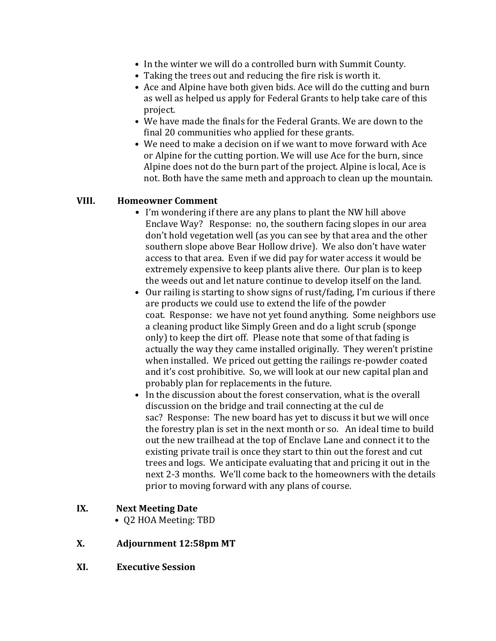- In the winter we will do a controlled burn with Summit County.
- Taking the trees out and reducing the fire risk is worth it.
- Ace and Alpine have both given bids. Ace will do the cutting and burn as well as helped us apply for Federal Grants to help take care of this project.
- We have made the finals for the Federal Grants. We are down to the final 20 communities who applied for these grants.
- We need to make a decision on if we want to move forward with Ace or Alpine for the cutting portion. We will use Ace for the burn, since Alpine does not do the burn part of the project. Alpine is local, Ace is not. Both have the same meth and approach to clean up the mountain.

#### **VIII. Homeowner Comment**

- I'm wondering if there are any plans to plant the NW hill above Enclave Way? Response: no, the southern facing slopes in our area don't hold vegetation well (as you can see by that area and the other southern slope above Bear Hollow drive). We also don't have water access to that area. Even if we did pay for water access it would be extremely expensive to keep plants alive there. Our plan is to keep the weeds out and let nature continue to develop itself on the land.
- Our railing is starting to show signs of rust/fading, I'm curious if there are products we could use to extend the life of the powder coat. Response: we have not yet found anything. Some neighbors use a cleaning product like Simply Green and do a light scrub (sponge only) to keep the dirt off. Please note that some of that fading is actually the way they came installed originally. They weren't pristine when installed. We priced out getting the railings re-powder coated and it's cost prohibitive. So, we will look at our new capital plan and probably plan for replacements in the future.
- In the discussion about the forest conservation, what is the overall discussion on the bridge and trail connecting at the cul de sac? Response: The new board has yet to discuss it but we will once the forestry plan is set in the next month or so. An ideal time to build out the new trailhead at the top of Enclave Lane and connect it to the existing private trail is once they start to thin out the forest and cut trees and logs. We anticipate evaluating that and pricing it out in the next 2-3 months. We'll come back to the homeowners with the details prior to moving forward with any plans of course.

#### **IX. Next Meeting Date**

• Q2 HOA Meeting: TBD

### **X. Adjournment 12:58pm MT**

**XI. Executive Session**